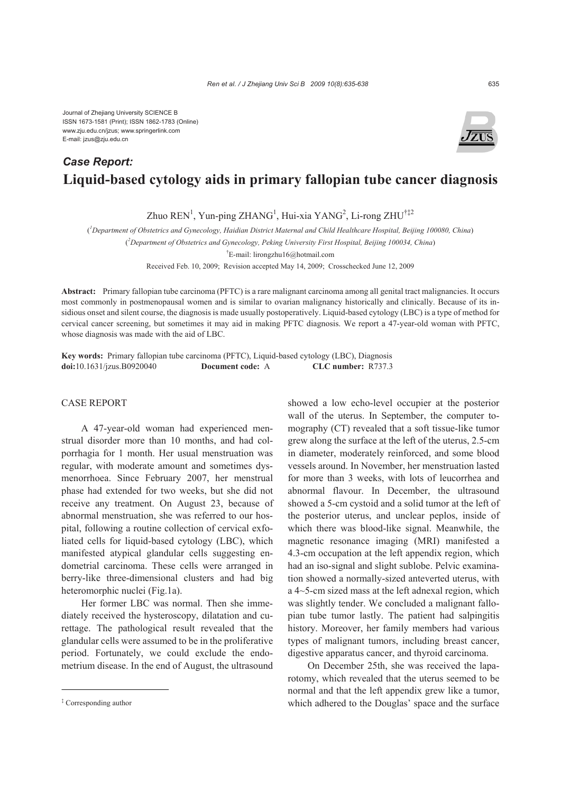## **Liquid-based cytology aids in primary fallopian tube cancer diagnosis**  *Case Report:*

Zhuo  $REN^1$ , Yun-ping ZHANG<sup>1</sup>, Hui-xia YANG<sup>2</sup>, Li-rong ZHU<sup>†‡2</sup>

( *1 Department of Obstetrics and Gynecology, Haidian District Maternal and Child Healthcare Hospital, Beijing 100080, China*)

( *2 Department of Obstetrics and Gynecology, Peking University First Hospital, Beijing 100034, China*)

† E-mail: lirongzhu16@hotmail.com

Received Feb. 10, 2009; Revision accepted May 14, 2009; Crosschecked June 12, 2009

**Abstract:** Primary fallopian tube carcinoma (PFTC) is a rare malignant carcinoma among all genital tract malignancies. It occurs most commonly in postmenopausal women and is similar to ovarian malignancy historically and clinically. Because of its insidious onset and silent course, the diagnosis is made usually postoperatively. Liquid-based cytology (LBC) is a type of method for cervical cancer screening, but sometimes it may aid in making PFTC diagnosis. We report a 47-year-old woman with PFTC, whose diagnosis was made with the aid of LBC.

**Key words:** Primary fallopian tube carcinoma (PFTC), Liquid-based cytology (LBC), Diagnosis **doi:**10.1631/jzus.B0920040 **Document code:** A **CLC number:** R737.3

## CASE REPORT

A 47-year-old woman had experienced menstrual disorder more than 10 months, and had colporrhagia for 1 month. Her usual menstruation was regular, with moderate amount and sometimes dysmenorrhoea. Since February 2007, her menstrual phase had extended for two weeks, but she did not receive any treatment. On August 23, because of abnormal menstruation, she was referred to our hospital, following a routine collection of cervical exfoliated cells for liquid-based cytology (LBC), which manifested atypical glandular cells suggesting endometrial carcinoma. These cells were arranged in berry-like three-dimensional clusters and had big heteromorphic nuclei (Fig.1a).

Her former LBC was normal. Then she immediately received the hysteroscopy, dilatation and curettage. The pathological result revealed that the glandular cells were assumed to be in the proliferative period. Fortunately, we could exclude the endometrium disease. In the end of August, the ultrasound showed a low echo-level occupier at the posterior wall of the uterus. In September, the computer tomography (CT) revealed that a soft tissue-like tumor grew along the surface at the left of the uterus, 2.5-cm in diameter, moderately reinforced, and some blood vessels around. In November, her menstruation lasted for more than 3 weeks, with lots of leucorrhea and abnormal flavour. In December, the ultrasound showed a 5-cm cystoid and a solid tumor at the left of the posterior uterus, and unclear peplos, inside of which there was blood-like signal. Meanwhile, the magnetic resonance imaging (MRI) manifested a 4.3-cm occupation at the left appendix region, which had an iso-signal and slight sublobe. Pelvic examination showed a normally-sized anteverted uterus, with a 4~5-cm sized mass at the left adnexal region, which was slightly tender. We concluded a malignant fallopian tube tumor lastly. The patient had salpingitis history. Moreover, her family members had various types of malignant tumors, including breast cancer, digestive apparatus cancer, and thyroid carcinoma.

On December 25th, she was received the laparotomy, which revealed that the uterus seemed to be normal and that the left appendix grew like a tumor, which adhered to the Douglas' space and the surface



<sup>‡</sup> Corresponding author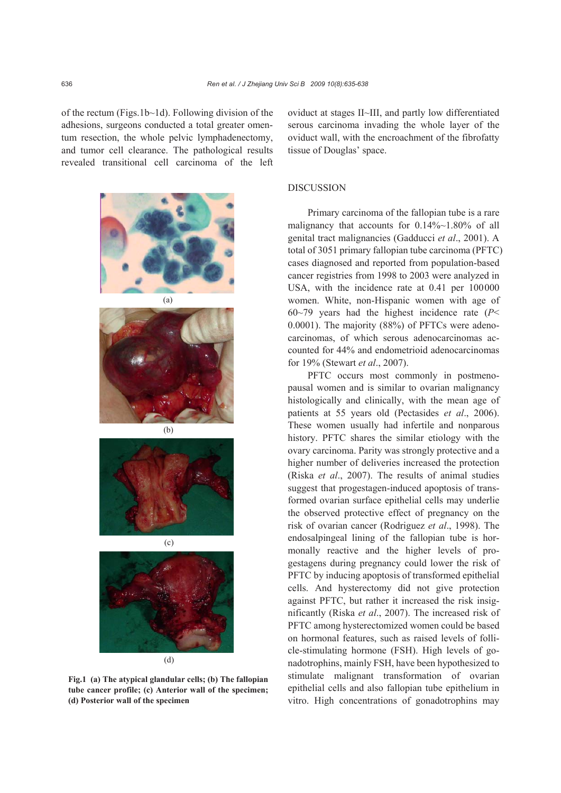of the rectum (Figs.1b~1d). Following division of the adhesions, surgeons conducted a total greater omentum resection, the whole pelvic lymphadenectomy, and tumor cell clearance. The pathological results revealed transitional cell carcinoma of the left



**Fig.1 (a) The atypical glandular cells; (b) The fallopian tube cancer profile; (c) Anterior wall of the specimen; (d) Posterior wall of the specimen** 

oviduct at stages II~III, and partly low differentiated serous carcinoma invading the whole layer of the oviduct wall, with the encroachment of the fibrofatty tissue of Douglas' space.

## DISCUSSION

Primary carcinoma of the fallopian tube is a rare malignancy that accounts for 0.14%~1.80% of all genital tract malignancies (Gadducci *et al*., 2001). A total of 3051 primary fallopian tube carcinoma (PFTC) cases diagnosed and reported from population-based cancer registries from 1998 to 2003 were analyzed in USA, with the incidence rate at 0.41 per 100000 women. White, non-Hispanic women with age of 60~79 years had the highest incidence rate (*P*< 0.0001). The majority (88%) of PFTCs were adenocarcinomas, of which serous adenocarcinomas accounted for 44% and endometrioid adenocarcinomas for 19% (Stewart *et al*., 2007).

PFTC occurs most commonly in postmenopausal women and is similar to ovarian malignancy histologically and clinically, with the mean age of patients at 55 years old (Pectasides *et al*., 2006). These women usually had infertile and nonparous history. PFTC shares the similar etiology with the ovary carcinoma. Parity was strongly protective and a higher number of deliveries increased the protection (Riska *et al*., 2007). The results of animal studies suggest that progestagen-induced apoptosis of transformed ovarian surface epithelial cells may underlie the observed protective effect of pregnancy on the risk of ovarian cancer (Rodriguez *et al*., 1998). The endosalpingeal lining of the fallopian tube is hormonally reactive and the higher levels of progestagens during pregnancy could lower the risk of PFTC by inducing apoptosis of transformed epithelial cells. And hysterectomy did not give protection against PFTC, but rather it increased the risk insignificantly (Riska *et al*., 2007). The increased risk of PFTC among hysterectomized women could be based on hormonal features, such as raised levels of follicle-stimulating hormone (FSH). High levels of gonadotrophins, mainly FSH, have been hypothesized to stimulate malignant transformation of ovarian epithelial cells and also fallopian tube epithelium in vitro. High concentrations of gonadotrophins may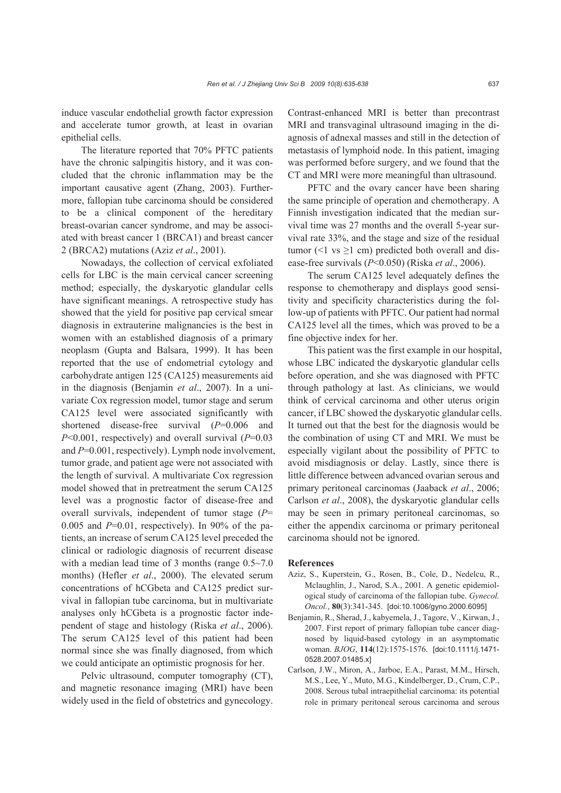induce vascular endothelial growth factor expression and accelerate tumor growth, at least in ovarian epithelial cells.

The literature reported that 70% PFTC patients have the chronic salpingitis history, and it was concluded that the chronic inflammation may be the important causative agent (Zhang, 2003). Furthermore, fallopian tube carcinoma should be considered to be a clinical component of the hereditary breast-ovarian cancer syndrome, and may be associated with breast cancer 1 (BRCA1) and breast cancer 2 (BRCA2) mutations (Aziz *et al*., 2001).

Nowadays, the collection of cervical exfoliated cells for LBC is the main cervical cancer screening method; especially, the dyskaryotic glandular cells have significant meanings. A retrospective study has showed that the yield for positive pap cervical smear diagnosis in extrauterine malignancies is the best in women with an established diagnosis of a primary neoplasm (Gupta and Balsara, 1999). It has been reported that the use of endometrial cytology and carbohydrate antigen 125 (CA125) measurements aid in the diagnosis (Benjamin *et al*., 2007). In a univariate Cox regression model, tumor stage and serum CA125 level were associated significantly with shortened disease-free survival (*P*=0.006 and *P*<0.001, respectively) and overall survival (*P*=0.03 and *P*=0.001, respectively). Lymph node involvement, tumor grade, and patient age were not associated with the length of survival. A multivariate Cox regression model showed that in pretreatment the serum CA125 level was a prognostic factor of disease-free and overall survivals, independent of tumor stage (*P*=  $0.005$  and  $P=0.01$ , respectively). In 90% of the patients, an increase of serum CA125 level preceded the clinical or radiologic diagnosis of recurrent disease with a median lead time of 3 months (range  $0.5 \sim 7.0$ ) months) (Hefler *et al*., 2000). The elevated serum concentrations of hCGbeta and CA125 predict survival in fallopian tube carcinoma, but in multivariate analyses only hCGbeta is a prognostic factor independent of stage and histology (Riska *et al*., 2006). The serum CA125 level of this patient had been normal since she was finally diagnosed, from which we could anticipate an optimistic prognosis for her.

Pelvic ultrasound, computer tomography (CT), and magnetic resonance imaging (MRI) have been widely used in the field of obstetrics and gynecology.

Contrast-enhanced MRI is better than precontrast MRI and transvaginal ultrasound imaging in the diagnosis of adnexal masses and still in the detection of metastasis of lymphoid node. In this patient, imaging was performed before surgery, and we found that the CT and MRI were more meaningful than ultrasound.

PFTC and the ovary cancer have been sharing the same principle of operation and chemotherapy. A Finnish investigation indicated that the median survival time was 27 months and the overall 5-year survival rate 33%, and the stage and size of the residual tumor ( $\leq 1$  vs  $\geq 1$  cm) predicted both overall and disease-free survivals (*P*<0.050) (Riska *et al*., 2006).

The serum CA125 level adequately defines the response to chemotherapy and displays good sensitivity and specificity characteristics during the follow-up of patients with PFTC. Our patient had normal CA125 level all the times, which was proved to be a fine objective index for her.

This patient was the first example in our hospital, whose LBC indicated the dyskaryotic glandular cells before operation, and she was diagnosed with PFTC through pathology at last. As clinicians, we would think of cervical carcinoma and other uterus origin cancer, if LBC showed the dyskaryotic glandular cells. It turned out that the best for the diagnosis would be the combination of using CT and MRI. We must be especially vigilant about the possibility of PFTC to avoid misdiagnosis or delay. Lastly, since there is little difference between advanced ovarian serous and primary peritoneal carcinomas (Jaaback *et al*., 2006; Carlson *et al*., 2008), the dyskaryotic glandular cells may be seen in primary peritoneal carcinomas, so either the appendix carcinoma or primary peritoneal carcinoma should not be ignored.

## **References**

- Aziz, S., Kuperstein, G., Rosen, B., Cole, D., Nedelcu, R., Mclaughlin, J., Narod, S.A., 2001. A genetic epidemiological study of carcinoma of the fallopian tube. *Gynecol. Oncol.*, **80**(3):341-345. [doi:10.1006/gyno.2000.6095]
- Benjamin, R., Sherad, J., kabyemela, J., Tagore, V., Kirwan, J., 2007. First report of primary fallopian tube cancer diagnosed by liquid-based cytology in an asymptomatic woman. *BJOG*, **114**(12):1575-1576. [doi:10.1111/j.1471- 0528.2007.01485.x]
- Carlson, J.W., Miron, A., Jarboe, E.A., Parast, M.M., Hirsch, M.S., Lee, Y., Muto, M.G., Kindelberger, D., Crum, C.P., 2008. Serous tubal intraepithelial carcinoma: its potential role in primary peritoneal serous carcinoma and serous